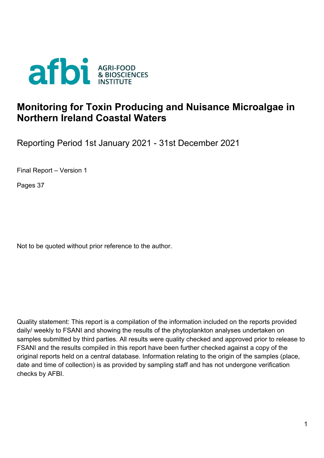

## **Monitoring for Toxin Producing and Nuisance Microalgae in Northern Ireland Coastal Waters**

Reporting Period 1st January 2021 - 31st December 2021

Final Report – Version 1

Pages 37

Not to be quoted without prior reference to the author.

Quality statement: This report is a compilation of the information included on the reports provided daily/ weekly to FSANI and showing the results of the phytoplankton analyses undertaken on samples submitted by third parties. All results were quality checked and approved prior to release to FSANI and the results compiled in this report have been further checked against a copy of the original reports held on a central database. Information relating to the origin of the samples (place, date and time of collection) is as provided by sampling staff and has not undergone verification checks by AFBI.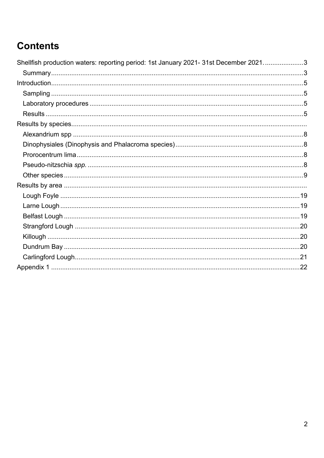# **Contents**

| Shellfish production waters: reporting period: 1st January 2021- 31st December 20213 |  |
|--------------------------------------------------------------------------------------|--|
|                                                                                      |  |
|                                                                                      |  |
|                                                                                      |  |
|                                                                                      |  |
|                                                                                      |  |
|                                                                                      |  |
|                                                                                      |  |
|                                                                                      |  |
|                                                                                      |  |
|                                                                                      |  |
|                                                                                      |  |
|                                                                                      |  |
|                                                                                      |  |
|                                                                                      |  |
|                                                                                      |  |
|                                                                                      |  |
|                                                                                      |  |
|                                                                                      |  |
|                                                                                      |  |
|                                                                                      |  |
|                                                                                      |  |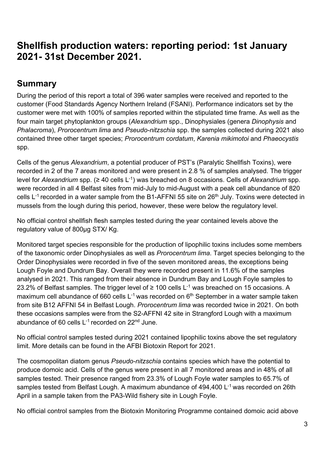## <span id="page-2-0"></span>**Shellfish production waters: reporting period: 1st January 2021- 31st December 2021.**

## <span id="page-2-1"></span>**Summary**

During the period of this report a total of 396 water samples were received and reported to the customer (Food Standards Agency Northern Ireland (FSANI). Performance indicators set by the customer were met with 100% of samples reported within the stipulated time frame. As well as the four main target phytoplankton groups (*Alexandrium* spp., Dinophysiales (genera *Dinophysis* and *Phalacroma*), *Prorocentrum lima* and *Pseudo-nitzschia* spp. the samples collected during 2021 also contained three other target species; *Prorocentrum cordatum*, *Karenia mikimotoi* and *Phaeocystis* spp.

Cells of the genus *Alexandrium*, a potential producer of PST's (Paralytic Shellfish Toxins), were recorded in 2 of the 7 areas monitored and were present in 2.8 % of samples analysed. The trigger level for *Alexandrium* spp. (≥ 40 cells L-1) was breached on 8 occasions. Cells of *Alexandrium* spp. were recorded in all 4 Belfast sites from mid-July to mid-August with a peak cell abundance of 820 cells  $L^{-1}$  recorded in a water sample from the B1-AFFNI 55 site on 26<sup>th</sup> July. Toxins were detected in mussels from the lough during this period, however, these were below the regulatory level.

No official control shellfish flesh samples tested during the year contained levels above the regulatory value of 800µg STX/ Kg.

Monitored target species responsible for the production of lipophilic toxins includes some members of the taxonomic order Dinophysiales as well as *Prorocentrum lima*. Target species belonging to the Order Dinophysiales were recorded in five of the seven monitored areas, the exceptions being Lough Foyle and Dundrum Bay. Overall they were recorded present in 11.6% of the samples analysed in 2021. This ranged from their absence in Dundrum Bay and Lough Foyle samples to 23.2% of Belfast samples. The trigger level of  $\geq$  100 cells L<sup>-1</sup> was breached on 15 occasions. A maximum cell abundance of 660 cells  $L^{-1}$  was recorded on 6<sup>th</sup> September in a water sample taken from site B12 AFFNI 54 in Belfast Lough. *Prorocentrum lima* was recorded twice in 2021. On both these occasions samples were from the S2-AFFNI 42 site in Strangford Lough with a maximum abundance of 60 cells  $L^{-1}$  recorded on 22<sup>nd</sup> June.

No official control samples tested during 2021 contained lipophilic toxins above the set regulatory limit. More details can be found in the AFBI Biotoxin Report for 2021.

The cosmopolitan diatom genus *Pseudo-nitzschia* contains species which have the potential to produce domoic acid. Cells of the genus were present in all 7 monitored areas and in 48% of all samples tested. Their presence ranged from 23.3% of Lough Foyle water samples to 65.7% of samples tested from Belfast Lough. A maximum abundance of 494,400 L<sup>-1</sup> was recorded on 26th April in a sample taken from the PA3-Wild fishery site in Lough Foyle.

No official control samples from the Biotoxin Monitoring Programme contained domoic acid above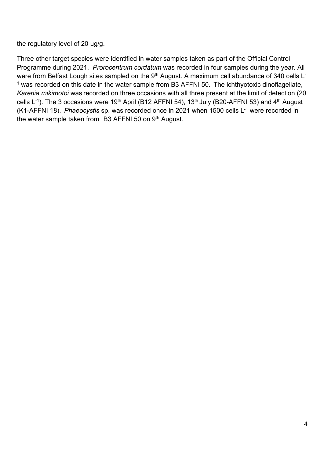the regulatory level of 20 µg/g.

Three other target species were identified in water samples taken as part of the Official Control Programme during 2021. *Prorocentrum cordatum* was recorded in four samples during the year. All were from Belfast Lough sites sampled on the 9<sup>th</sup> August. A maximum cell abundance of 340 cells L<sup>-</sup>  $1$  was recorded on this date in the water sample from B3 AFFNI 50. The ichthyotoxic dinoflagellate, *Karenia mikimotoi* was recorded on three occasions with all three present at the limit of detection (20 cells  $L^{-1}$ ). The 3 occasions were 19<sup>th</sup> April (B12 AFFNI 54), 13<sup>th</sup> July (B20-AFFNI 53) and 4<sup>th</sup> August (K1-AFFNI 18). *Phaeocystis* sp. was recorded once in 2021 when 1500 cells L-1 were recorded in the water sample taken from B3 AFFNI 50 on 9<sup>th</sup> August.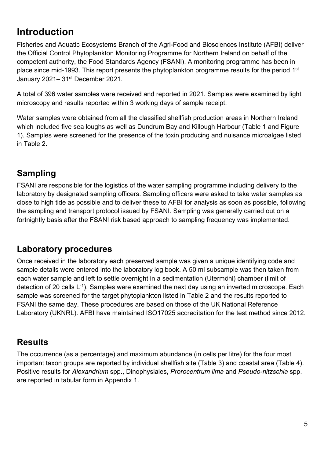# <span id="page-4-0"></span>**Introduction**

Fisheries and Aquatic Ecosystems Branch of the Agri-Food and Biosciences Institute (AFBI) deliver the Official Control Phytoplankton Monitoring Programme for Northern Ireland on behalf of the competent authority, the Food Standards Agency (FSANI). A monitoring programme has been in place since mid-1993. This report presents the phytoplankton programme results for the period 1<sup>st</sup> January 2021-31<sup>st</sup> December 2021.

A total of 396 water samples were received and reported in 2021. Samples were examined by light microscopy and results reported within 3 working days of sample receipt.

Water samples were obtained from all the classified shellfish production areas in Northern Ireland which included five sea loughs as well as Dundrum Bay and Killough Harbour (Table 1 and Figure 1). Samples were screened for the presence of the toxin producing and nuisance microalgae listed in Table 2.

## <span id="page-4-1"></span>**Sampling**

FSANI are responsible for the logistics of the water sampling programme including delivery to the laboratory by designated sampling officers. Sampling officers were asked to take water samples as close to high tide as possible and to deliver these to AFBI for analysis as soon as possible, following the sampling and transport protocol issued by FSANI. Sampling was generally carried out on a fortnightly basis after the FSANI risk based approach to sampling frequency was implemented.

## <span id="page-4-2"></span>**Laboratory procedures**

Once received in the laboratory each preserved sample was given a unique identifying code and sample details were entered into the laboratory log book. A 50 ml subsample was then taken from each water sample and left to settle overnight in a sedimentation (Utermöhl) chamber (limit of detection of 20 cells  $L^{-1}$ ). Samples were examined the next day using an inverted microscope. Each sample was screened for the target phytoplankton listed in Table 2 and the results reported to FSANI the same day. These procedures are based on those of the UK National Reference Laboratory (UKNRL). AFBI have maintained ISO17025 accreditation for the test method since 2012.

## <span id="page-4-3"></span>**Results**

The occurrence (as a percentage) and maximum abundance (in cells per litre) for the four most important taxon groups are reported by individual shellfish site (Table 3) and coastal area (Table 4). Positive results for *Alexandrium* spp., Dinophysiales, *Prorocentrum lima* and *Pseudo-nitzschia* spp. are reported in tabular form in Appendix 1.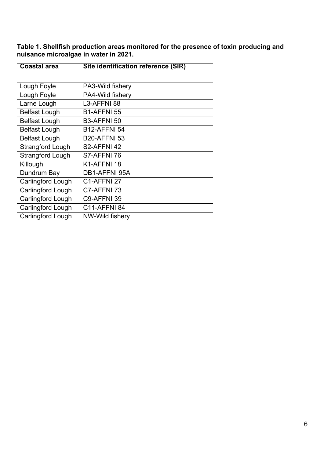**Table 1. Shellfish production areas monitored for the presence of toxin producing and nuisance microalgae in water in 2021.**

| <b>Coastal area</b>     | Site identification reference (SIR) |
|-------------------------|-------------------------------------|
|                         |                                     |
| Lough Foyle             | PA3-Wild fishery                    |
| Lough Foyle             | PA4-Wild fishery                    |
| Larne Lough             | L3-AFFNI 88                         |
| Belfast Lough           | B1-AFFNI 55                         |
| Belfast Lough           | B3-AFFNI 50                         |
| Belfast Lough           | <b>B12-AFFNI 54</b>                 |
| <b>Belfast Lough</b>    | <b>B20-AFFNI 53</b>                 |
| <b>Strangford Lough</b> | S2-AFFNI 42                         |
| <b>Strangford Lough</b> | S7-AFFNI 76                         |
| Killough                | K1-AFFNI 18                         |
| Dundrum Bay             | DB1-AFFNI 95A                       |
| Carlingford Lough       | C1-AFFNI 27                         |
| Carlingford Lough       | C7-AFFNI 73                         |
| Carlingford Lough       | C9-AFFNI 39                         |
| Carlingford Lough       | <b>C11-AFFNI 84</b>                 |
| Carlingford Lough       | NW-Wild fishery                     |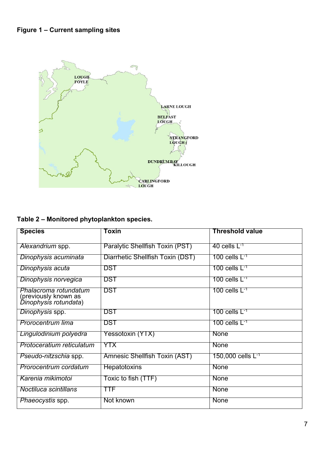

### **Table 2 – Monitored phytoplankton species.**

| <b>Species</b>                                                         | Toxin                            | Threshold value                         |
|------------------------------------------------------------------------|----------------------------------|-----------------------------------------|
| Alexandrium spp.                                                       | Paralytic Shellfish Toxin (PST)  | $40$ cells $\mathsf{L}^{\text{-1}}$     |
| Dinophysis acuminata                                                   | Diarrhetic Shellfish Toxin (DST) | 100 cells $\mathsf{L}^{\text{-1}}$      |
| Dinophysis acuta                                                       | <b>DST</b>                       | 100 cells $L^{-1}$                      |
| Dinophysis norvegica                                                   | DST                              | 100 cells $\mathsf{L}^{\text{-1}}$      |
| Phalacroma rotundatum<br>(previously known as<br>Dinophysis rotundata) | DST                              | 100 cells $\mathsf{L}^{\text{-1}}$      |
| Dinophysis spp.                                                        | DST                              | 100 cells $\mathsf{L}^{\text{-1}}$      |
| Prorocentrum lima                                                      | DST                              | 100 cells $\mathsf{L}^{\text{-1}}$      |
| Lingulodinium polyedra                                                 | Yessotoxin (YTX)                 | <b>None</b>                             |
| Protoceratium reticulatum                                              | YTX                              | None                                    |
| <i>Pseudo-nitzschia</i> spp.                                           | Amnesic Shellfish Toxin (AST)    | $150,000$ cells $\mathsf{L}^\mathsf{T}$ |
| Prorocentrum cordatum                                                  | <b>Hepatotoxins</b>              | None                                    |
| Karenia mikimotoi                                                      | Toxic to fish (TTF)              | <b>None</b>                             |
| Noctiluca scintillans                                                  | TTF                              | None                                    |
| Phaeocystis spp.                                                       | Not known                        | <b>None</b>                             |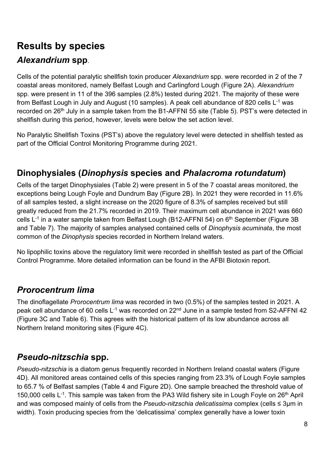# <span id="page-7-1"></span><span id="page-7-0"></span>**Results by species** *Alexandrium* **spp**.

Cells of the potential paralytic shellfish toxin producer *Alexandrium* spp. were recorded in 2 of the 7 coastal areas monitored, namely Belfast Lough and Carlingford Lough (Figure 2A). *Alexandrium* spp. were present in 11 of the 396 samples (2.8%) tested during 2021. The majority of these were from Belfast Lough in July and August (10 samples). A peak cell abundance of 820 cells  $L^{-1}$  was recorded on 26<sup>th</sup> July in a sample taken from the B1-AFFNI 55 site (Table 5). PST's were detected in shellfish during this period, however, levels were below the set action level.

No Paralytic Shellfish Toxins (PST's) above the regulatory level were detected in shellfish tested as part of the Official Control Monitoring Programme during 2021.

## <span id="page-7-2"></span>**Dinophysiales (***Dinophysis* **species and** *Phalacroma rotundatum***)**

Cells of the target Dinophysiales (Table 2) were present in 5 of the 7 coastal areas monitored, the exceptions being Lough Foyle and Dundrum Bay (Figure 2B). In 2021 they were recorded in 11.6% of all samples tested, a slight increase on the 2020 figure of 8.3% of samples received but still greatly reduced from the 21.7% recorded in 2019. Their maximum cell abundance in 2021 was 660 cells  $L^{-1}$  in a water sample taken from Belfast Lough (B12-AFFNI 54) on  $6<sup>th</sup>$  September (Figure 3B and Table 7). The majority of samples analysed contained cells of *Dinophysis acuminata*, the most common of the *Dinophysis* species recorded in Northern Ireland waters.

No lipophilic toxins above the regulatory limit were recorded in shellfish tested as part of the Official Control Programme. More detailed information can be found in the AFBI Biotoxin report.

## <span id="page-7-3"></span>*Prorocentrum lima*

The dinoflagellate *Prorocentrum lima* was recorded in two (0.5%) of the samples tested in 2021. A peak cell abundance of 60 cells L<sup>-1</sup> was recorded on 22<sup>nd</sup> June in a sample tested from S2-AFFNI 42 (Figure 3C and Table 6). This agrees with the historical pattern of its low abundance across all Northern Ireland monitoring sites (Figure 4C).

## <span id="page-7-4"></span>*Pseudo-nitzschia* **spp.**

*Pseudo-nitzschia* is a diatom genus frequently recorded in Northern Ireland coastal waters (Figure 4D). All monitored areas contained cells of this species ranging from 23.3% of Lough Foyle samples to 65.7 % of Belfast samples (Table 4 and Figure 2D). One sample breached the threshold value of 150,000 cells  $L^{-1}$ . This sample was taken from the PA3 Wild fishery site in Lough Foyle on 26<sup>th</sup> April and was composed mainly of cells from the *Pseudo-nitzschia delicatissima* complex (cells ≤ 3µm in width). Toxin producing species from the 'delicatissima' complex generally have a lower toxin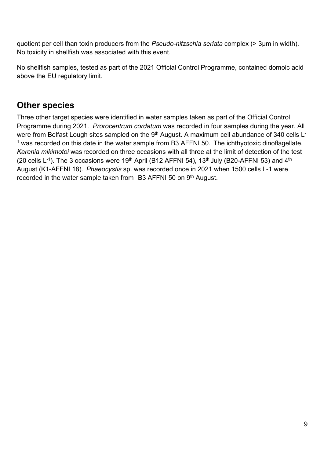quotient per cell than toxin producers from the *Pseudo-nitzschia seriata* complex (˃ 3µm in width). No toxicity in shellfish was associated with this event.

No shellfish samples, tested as part of the 2021 Official Control Programme, contained domoic acid above the EU regulatory limit.

## <span id="page-8-0"></span>**Other species**

Three other target species were identified in water samples taken as part of the Official Control Programme during 2021. *Prorocentrum cordatum* was recorded in four samples during the year. All were from Belfast Lough sites sampled on the 9<sup>th</sup> August. A maximum cell abundance of 340 cells L<sup>-</sup>  $1$  was recorded on this date in the water sample from B3 AFFNI 50. The ichthyotoxic dinoflagellate, *Karenia mikimotoi* was recorded on three occasions with all three at the limit of detection of the test (20 cells  $L^{-1}$ ). The 3 occasions were 19<sup>th</sup> April (B12 AFFNI 54), 13<sup>th</sup> July (B20-AFFNI 53) and 4<sup>th</sup> August (K1-AFFNI 18). *Phaeocystis* sp. was recorded once in 2021 when 1500 cells L-1 were recorded in the water sample taken from B3 AFFNI 50 on 9th August.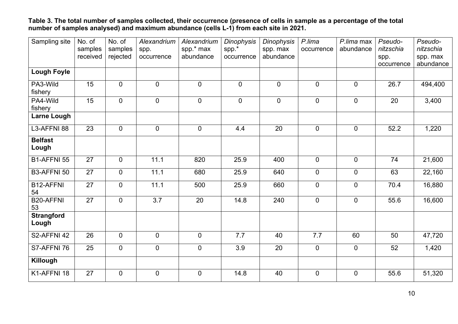**Table 3. The total number of samples collected, their occurrence (presence of cells in sample as a percentage of the total number of samples analysed) and maximum abundance (cells L-1) from each site in 2021.**

| Sampling site              | No. of<br>samples<br>received | No. of<br>samples<br>rejected | Alexandrium<br>spp.<br>occurrence | Alexandrium<br>spp.* max<br>abundance | <b>Dinophysis</b><br>spp.*<br>occurrence | <b>Dinophysis</b><br>spp. max<br>abundance | P.lima<br>occurrence | P.lima max<br>abundance | Pseudo-<br>nitzschia<br>spp. | Pseudo-<br>nitzschia<br>spp. max |
|----------------------------|-------------------------------|-------------------------------|-----------------------------------|---------------------------------------|------------------------------------------|--------------------------------------------|----------------------|-------------------------|------------------------------|----------------------------------|
|                            |                               |                               |                                   |                                       |                                          |                                            |                      |                         | occurrence                   | abundance                        |
| <b>Lough Foyle</b>         |                               |                               |                                   |                                       |                                          |                                            |                      |                         |                              |                                  |
| PA3-Wild<br>fishery        | 15                            | $\mathbf 0$                   | $\overline{0}$                    | $\overline{0}$                        | $\mathbf 0$                              | $\mathbf 0$                                | $\overline{0}$       | $\overline{0}$          | 26.7                         | 494,400                          |
| PA4-Wild<br>fishery        | 15                            | $\mathbf 0$                   | $\mathbf 0$                       | $\overline{0}$                        | $\mathbf 0$                              | $\mathbf 0$                                | $\overline{0}$       | $\mathbf 0$             | 20                           | 3,400                            |
| Larne Lough                |                               |                               |                                   |                                       |                                          |                                            |                      |                         |                              |                                  |
| L3-AFFNI 88                | 23                            | $\mathbf 0$                   | $\overline{0}$                    | $\overline{0}$                        | 4.4                                      | 20                                         | $\overline{0}$       | $\mathbf 0$             | 52.2                         | 1,220                            |
| <b>Belfast</b><br>Lough    |                               |                               |                                   |                                       |                                          |                                            |                      |                         |                              |                                  |
| B1-AFFNI 55                | 27                            | $\mathbf 0$                   | 11.1                              | 820                                   | 25.9                                     | 400                                        | $\overline{0}$       | $\mathbf 0$             | 74                           | 21,600                           |
| B3-AFFNI 50                | 27                            | $\mathbf 0$                   | 11.1                              | 680                                   | 25.9                                     | 640                                        | $\overline{0}$       | $\mathbf 0$             | 63                           | 22,160                           |
| B12-AFFNI<br>54            | 27                            | $\overline{0}$                | 11.1                              | 500                                   | 25.9                                     | 660                                        | $\mathbf 0$          | $\overline{0}$          | 70.4                         | 16,880                           |
| <b>B20-AFFNI</b><br>53     | $\overline{27}$               | $\mathbf 0$                   | $\overline{3.7}$                  | 20                                    | 14.8                                     | 240                                        | $\overline{0}$       | $\overline{0}$          | 55.6                         | 16,600                           |
| <b>Strangford</b><br>Lough |                               |                               |                                   |                                       |                                          |                                            |                      |                         |                              |                                  |
| S2-AFFNI 42                | 26                            | $\overline{0}$                | $\Omega$                          | $\overline{0}$                        | 7.7                                      | 40                                         | 7.7                  | 60                      | 50                           | 47,720                           |
| S7-AFFNI 76                | $\overline{25}$               | $\overline{0}$                | $\Omega$                          | $\Omega$                              | $\overline{3.9}$                         | $\overline{20}$                            | $\Omega$             | $\overline{0}$          | 52                           | 1,420                            |
| Killough                   |                               |                               |                                   |                                       |                                          |                                            |                      |                         |                              |                                  |
| K1-AFFNI 18                | 27                            | $\mathbf 0$                   | $\overline{0}$                    | $\overline{0}$                        | 14.8                                     | 40                                         | $\overline{0}$       | $\mathbf 0$             | 55.6                         | 51,320                           |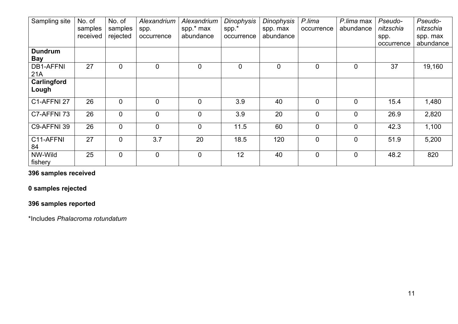| Sampling site                | No. of<br>samples<br>received | No. of<br>samples<br>rejected | Alexandrium<br>spp.<br>occurrence | Alexandrium<br>spp.* max<br>abundance | <b>Dinophysis</b><br>$spp.*$<br>occurrence | Dinophysis<br>spp. max<br>abundance | P.lima<br>occurrence | P.lima max<br>abundance | Pseudo-<br>nitzschia<br>spp.<br>occurrence | Pseudo-<br>nitzschia<br>spp. max<br>abundance |
|------------------------------|-------------------------------|-------------------------------|-----------------------------------|---------------------------------------|--------------------------------------------|-------------------------------------|----------------------|-------------------------|--------------------------------------------|-----------------------------------------------|
| <b>Dundrum</b><br><b>Bay</b> |                               |                               |                                   |                                       |                                            |                                     |                      |                         |                                            |                                               |
| <b>DB1-AFFNI</b><br>21A      | 27                            | $\mathbf 0$                   | $\overline{0}$                    | $\mathbf 0$                           | $\mathbf 0$                                | $\mathbf 0$                         | $\overline{0}$       | $\mathbf 0$             | 37                                         | 19,160                                        |
| Carlingford<br>Lough         |                               |                               |                                   |                                       |                                            |                                     |                      |                         |                                            |                                               |
| C1-AFFNI 27                  | 26                            | $\overline{0}$                | $\overline{0}$                    | $\overline{0}$                        | 3.9                                        | 40                                  | $\overline{0}$       | $\overline{0}$          | 15.4                                       | 1,480                                         |
| C7-AFFNI 73                  | 26                            | $\mathbf 0$                   | $\overline{0}$                    | $\mathbf 0$                           | 3.9                                        | 20                                  | $\overline{0}$       | $\mathbf 0$             | 26.9                                       | 2,820                                         |
| C9-AFFNI 39                  | 26                            | $\overline{0}$                | $\overline{0}$                    | $\mathbf 0$                           | 11.5                                       | 60                                  | $\overline{0}$       | $\overline{0}$          | 42.3                                       | 1,100                                         |
| C11-AFFNI<br>84              | 27                            | $\mathbf 0$                   | 3.7                               | 20                                    | 18.5                                       | 120                                 | $\overline{0}$       | $\mathbf 0$             | 51.9                                       | 5,200                                         |
| NW-Wild<br>fishery           | 25                            | $\mathbf 0$                   | $\mathbf 0$                       | $\mathbf 0$                           | 12                                         | 40                                  | $\overline{0}$       | $\overline{0}$          | 48.2                                       | 820                                           |

### **396 samples received**

### **0 samples rejected**

## **396 samples reported**

\*Includes *Phalacroma rotundatum*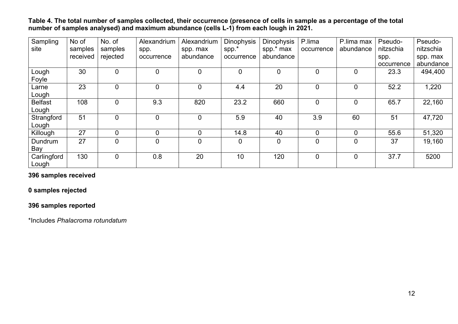**Table 4. The total number of samples collected, their occurrence (presence of cells in sample as a percentage of the total number of samples analysed) and maximum abundance (cells L-1) from each lough in 2021.**

| Sampling       | No of    | No. of         | Alexandrium    | Alexandrium    | <b>Dinophysis</b> | <b>Dinophysis</b> | P.lima     | P.lima max     | Pseudo-    | Pseudo-   |
|----------------|----------|----------------|----------------|----------------|-------------------|-------------------|------------|----------------|------------|-----------|
| site           | samples  | samples        | spp.           | spp. max       | $spp.*$           | spp.* max         | occurrence | abundance      | nitzschia  | nitzschia |
|                | received | rejected       | occurrence     | abundance      | occurrence        | abundance         |            |                | spp.       | spp. max  |
|                |          |                |                |                |                   |                   |            |                | occurrence | abundance |
| Lough          | 30       | $\overline{0}$ | $\overline{0}$ | $\overline{0}$ | 0                 | $\mathbf 0$       | 0          | $\overline{0}$ | 23.3       | 494,400   |
| Foyle          |          |                |                |                |                   |                   |            |                |            |           |
| Larne          | 23       | $\overline{0}$ | $\mathbf 0$    | $\overline{0}$ | 4.4               | 20                | 0          | $\mathbf 0$    | 52.2       | 1,220     |
| Lough          |          |                |                |                |                   |                   |            |                |            |           |
| <b>Belfast</b> | 108      | $\overline{0}$ | 9.3            | 820            | 23.2              | 660               | 0          | $\overline{0}$ | 65.7       | 22,160    |
| Lough          |          |                |                |                |                   |                   |            |                |            |           |
| Strangford     | 51       | $\overline{0}$ | $\overline{0}$ | $\overline{0}$ | 5.9               | 40                | 3.9        | 60             | 51         | 47,720    |
| Lough          |          |                |                |                |                   |                   |            |                |            |           |
| Killough       | 27       | $\overline{0}$ | $\overline{0}$ | $\overline{0}$ | 14.8              | 40                | 0          | $\mathbf 0$    | 55.6       | 51,320    |
| Dundrum        | 27       | $\overline{0}$ | $\overline{0}$ | $\mathbf 0$    | 0                 | $\mathbf 0$       | 0          | $\overline{0}$ | 37         | 19,160    |
| Bay            |          |                |                |                |                   |                   |            |                |            |           |
| Carlingford    | 130      | $\overline{0}$ | 0.8            | 20             | 10                | 120               | 0          | $\overline{0}$ | 37.7       | 5200      |
| Lough          |          |                |                |                |                   |                   |            |                |            |           |

#### **396 samples received**

#### **0 samples rejected**

#### **396 samples reported**

\*Includes *Phalacroma rotundatum*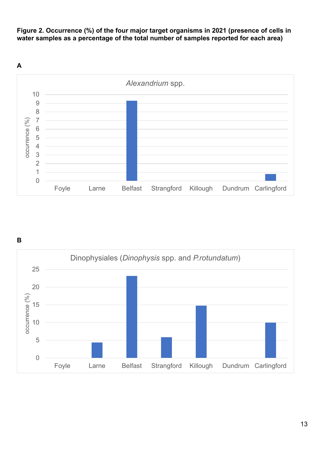

**Figure 2. Occurrence (%) of the four major target organisms in 2021 (presence of cells in water samples as a percentage of the total number of samples reported for each area)**

**B**

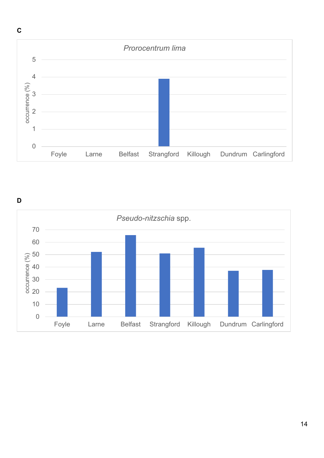

**D**

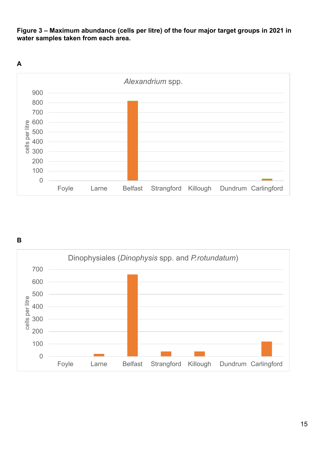**Figure 3 – Maximum abundance (cells per litre) of the four major target groups in 2021 in water samples taken from each area.**



**B**

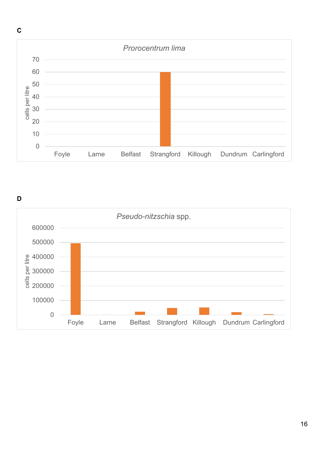

**D**

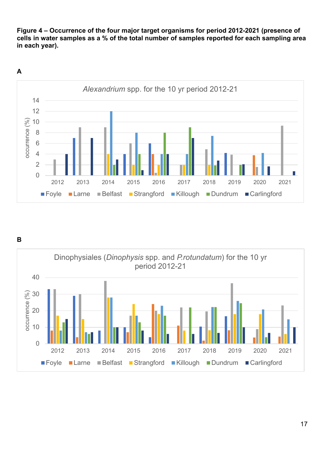**Figure 4 – Occurrence of the four major target organisms for period 2012-2021 (presence of cells in water samples as a % of the total number of samples reported for each sampling area in each year).**



**B**

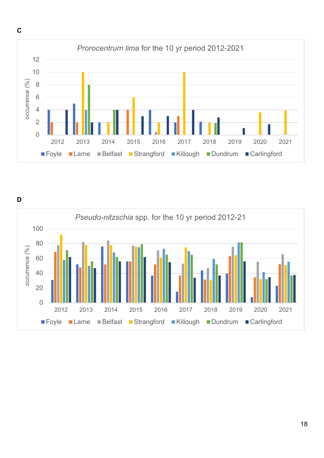

**D**

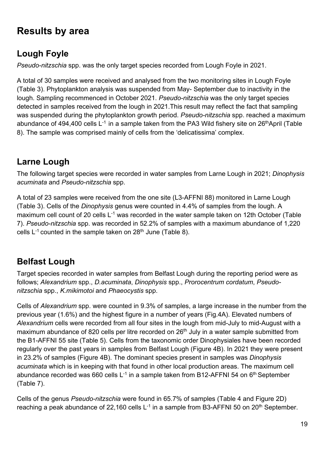# <span id="page-18-0"></span>**Results by area**

# <span id="page-18-1"></span>**Lough Foyle**

*Pseudo-nitzschia* spp. was the only target species recorded from Lough Foyle in 2021.

A total of 30 samples were received and analysed from the two monitoring sites in Lough Foyle (Table 3). Phytoplankton analysis was suspended from May- September due to inactivity in the lough. Sampling recommenced in October 2021. *Pseudo-nitzschia* was the only target species detected in samples received from the lough in 2021.This result may reflect the fact that sampling was suspended during the phytoplankton growth period. *Pseudo-nitzschia* spp. reached a maximum abundance of 494,400 cells  $L^{-1}$  in a sample taken from the PA3 Wild fishery site on 26<sup>th</sup>April (Table 8). The sample was comprised mainly of cells from the 'delicatissima' complex.

# <span id="page-18-2"></span>**Larne Lough**

The following target species were recorded in water samples from Larne Lough in 2021; *Dinophysis acuminata* and *Pseudo-nitzschia* spp.

A total of 23 samples were received from the one site (L3-AFFNI 88) monitored in Larne Lough (Table 3). Cells of the *Dinophysis* genus were counted in 4.4% of samples from the lough. A maximum cell count of 20 cells  $L^{-1}$  was recorded in the water sample taken on 12th October (Table 7). *Pseudo-nitzschia* spp. was recorded in 52.2% of samples with a maximum abundance of 1,220 cells  $L^{-1}$  counted in the sample taken on 28<sup>th</sup> June (Table 8).

## <span id="page-18-3"></span>**Belfast Lough**

Target species recorded in water samples from Belfast Lough during the reporting period were as follows; *Alexandrium* spp., *D.acuminata*, *Dinophysis* spp., *Prorocentrum cordatum*, *Pseudonitzschia* spp., *K.mikimotoi* and *Phaeocystis* spp.

Cells of *Alexandrium* spp. were counted in 9.3% of samples, a large increase in the number from the previous year (1.6%) and the highest figure in a number of years (Fig.4A). Elevated numbers of *Alexandrium* cells were recorded from all four sites in the lough from mid-July to mid-August with a maximum abundance of 820 cells per litre recorded on 26<sup>th</sup> July in a water sample submitted from the B1-AFFNI 55 site (Table 5). Cells from the taxonomic order Dinophysiales have been recorded regularly over the past years in samples from Belfast Lough (Figure 4B). In 2021 they were present in 23.2% of samples (Figure 4B). The dominant species present in samples was *Dinophysis acuminata* which is in keeping with that found in other local production areas. The maximum cell abundance recorded was 660 cells  $L^{-1}$  in a sample taken from B12-AFFNI 54 on 6<sup>th</sup> September (Table 7).

Cells of the genus *Pseudo-nitzschia* were found in 65.7% of samples (Table 4 and Figure 2D) reaching a peak abundance of 22,160 cells  $L^{-1}$  in a sample from B3-AFFNI 50 on 20<sup>th</sup> September.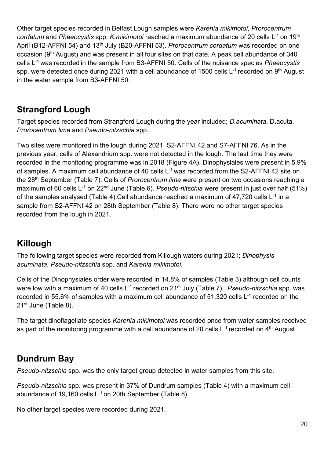Other target species recorded in Belfast Lough samples were *Karenia mikimotoi*, *Prorocentrum cordatum* and *Phaeocystis* spp. *K.mikimotoi* reached a maximum abundance of 20 cells L-1 on 19th April (B12-AFFNI 54) and 13th July (B20-AFFNI 53). *Prorocentrum cordatum* was recorded on one occasion (9<sup>th</sup> August) and was present in all four sites on that date. A peak cell abundance of 340 cells L-1 was recorded in the sample from B3-AFFNI 50. Cells of the nuisance species *Phaeocystis* spp. were detected once during 2021 with a cell abundance of 1500 cells  $L^{-1}$  recorded on 9<sup>th</sup> August in the water sample from B3-AFFNI 50.

## <span id="page-19-0"></span>**Strangford Lough**

Target species recorded from Strangford Lough during the year included; *D.acuminata*, D.acuta, *Prorocentrum lima* and *Pseudo-nitzschia* spp..

Two sites were monitored in the lough during 2021, S2-AFFNI 42 and S7-AFFNI 76. As in the previous year, cells of Alexandrium spp. were not detected in the lough. The last time they were recorded in the monitoring programme was in 2018 (Figure 4A). Dinophysiales were present in 5.9% of samples. A maximum cell abundance of 40 cells L<sup>-1</sup> was recorded from the S2-AFFNI 42 site on the 28th September (Table 7). Cells of *Prorocentrum lima* were present on two occasions reaching a maximum of 60 cells L<sup>-1</sup> on 22<sup>nd</sup> June (Table 6). *Pseudo-nitschia* were present in just over half (51%) of the samples analysed (Table 4). Cell abundance reached a maximum of  $47,720$  cells  $L^{-1}$  in a sample from S2-AFFNI 42 on 28th September (Table 8). There were no other target species recorded from the lough in 2021.

## <span id="page-19-1"></span>**Killough**

The following target species were recorded from Killough waters during 2021; *Dinophysis acuminata*, *Pseudo-nitzschia* spp. and *Karenia mikimotoi*.

Cells of the Dinophysiales order were recorded in 14.8% of samples (Table 3) although cell counts were low with a maximum of 40 cells L<sup>-1</sup> recorded on 21<sup>st</sup> July (Table 7). *Pseudo-nitzschia* spp. was recorded in 55.6% of samples with a maximum cell abundance of 51,320 cells  $L^{-1}$  recorded on the 21<sup>st</sup> June (Table 8).

The target dinoflagellate species *Karenia mikimotoi* was recorded once from water samples received as part of the monitoring programme with a cell abundance of 20 cells  $L^{-1}$  recorded on  $4<sup>th</sup>$  August.

## <span id="page-19-2"></span>**Dundrum Bay**

*Pseudo-nitzschia* spp. was the only target group detected in water samples from this site.

*Pseudo-nitzschia* spp. was present in 37% of Dundrum samples (Table 4) with a maximum cell abundance of 19,160 cells  $L^{-1}$  on 20th September (Table 8).

No other target species were recorded during 2021.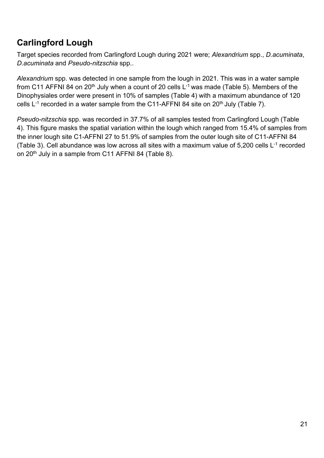## <span id="page-20-0"></span>**Carlingford Lough**

Target species recorded from Carlingford Lough during 2021 were; *Alexandrium* spp., *D.acuminata*, *D.acuminata* and *Pseudo-nitzschia* spp..

*Alexandrium* spp. was detected in one sample from the lough in 2021. This was in a water sample from C11 AFFNI 84 on 20<sup>th</sup> July when a count of 20 cells  $L^{-1}$  was made (Table 5). Members of the Dinophysiales order were present in 10% of samples (Table 4) with a maximum abundance of 120 cells  $L^{-1}$  recorded in a water sample from the C11-AFFNI 84 site on 20<sup>th</sup> July (Table 7).

*Pseudo-nitzschia* spp. was recorded in 37.7% of all samples tested from Carlingford Lough (Table 4). This figure masks the spatial variation within the lough which ranged from 15.4% of samples from the inner lough site C1-AFFNI 27 to 51.9% of samples from the outer lough site of C11-AFFNI 84 (Table 3). Cell abundance was low across all sites with a maximum value of 5,200 cells  $L^{-1}$  recorded on 20<sup>th</sup> July in a sample from C11 AFFNI 84 (Table 8).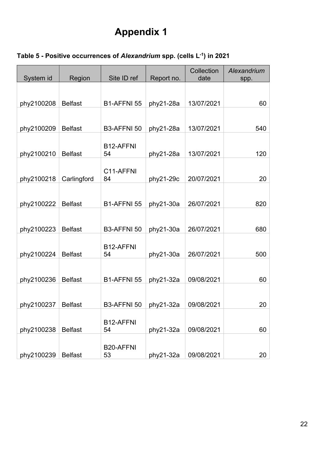# **Appendix 1**

| System id  | Region  | Site ID ref              | Report no.  | Collection<br>date | Alexandrium<br>spp. |
|------------|---------|--------------------------|-------------|--------------------|---------------------|
| phy2100208 | Belfast | B <sub>1</sub> -AFFNI 55 | $phy21-28a$ | 13/07/2021         | 60                  |
|            |         |                          |             |                    |                     |

phy2100209 Belfast B3-AFFNI 50 phy21-28a 13/07/2021 540

### <span id="page-21-0"></span>**Table 5 - Positive occurrences of** *Alexandrium* **spp. (cells L-1) in 2021**

|            |                | B12-AFFNI              |           |            |     |
|------------|----------------|------------------------|-----------|------------|-----|
| phy2100210 | <b>Belfast</b> | 54                     | phy21-28a | 13/07/2021 | 120 |
| phy2100218 | Carlingford    | C11-AFFNI<br>84        | phy21-29c | 20/07/2021 | 20  |
| phy2100222 | <b>Belfast</b> | B1-AFFNI 55            | phy21-30a | 26/07/2021 | 820 |
| phy2100223 | <b>Belfast</b> | <b>B3-AFFNI 50</b>     | phy21-30a | 26/07/2021 | 680 |
| phy2100224 | <b>Belfast</b> | B12-AFFNI<br>54        | phy21-30a | 26/07/2021 | 500 |
| phy2100236 | <b>Belfast</b> | B1-AFFNI 55            | phy21-32a | 09/08/2021 | 60  |
| phy2100237 | <b>Belfast</b> | B3-AFFNI 50            | phy21-32a | 09/08/2021 | 20  |
| phy2100238 | <b>Belfast</b> | B12-AFFNI<br>54        | phy21-32a | 09/08/2021 | 60  |
| phy2100239 | <b>Belfast</b> | <b>B20-AFFNI</b><br>53 | phy21-32a | 09/08/2021 | 20  |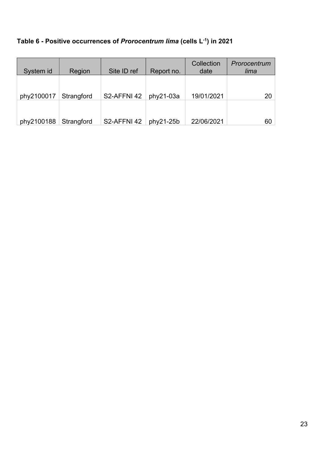| Table 6 - Positive occurrences of Prorocentrum lima (cells L-1) in 2021 |  |  |  |  |  |
|-------------------------------------------------------------------------|--|--|--|--|--|
|-------------------------------------------------------------------------|--|--|--|--|--|

| System id  | Region     | Site ID ref | Report no.  | Collection<br>date | Prorocentrum<br>lima |
|------------|------------|-------------|-------------|--------------------|----------------------|
|            |            |             |             |                    |                      |
| phy2100017 | Strangford | S2-AFFNI 42 | $phy21-03a$ | 19/01/2021         | 20                   |
| phy2100188 | Strangford | S2-AFFNI 42 | $phy21-25b$ | 22/06/2021         | 60                   |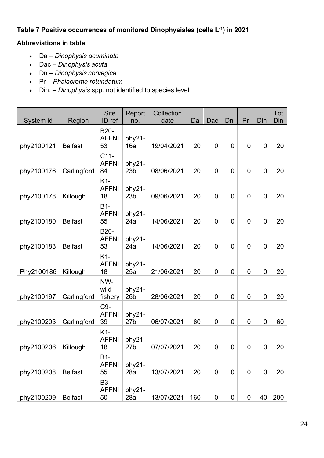### **Table 7 Positive occurrences of monitored Dinophysiales (cells L-1) in 2021**

### **Abbreviations in table**

- Da *Dinophysis acuminata*
- Dac *Dinophysis acuta*
- Dn *Dinophysis norvegica*
- Pr *Phalacroma rotundatum*
- Din. *Dinophysis* spp. not identified to species level

| System id  | Region         | <b>Site</b><br>ID ref             | Report<br>no.             | Collection<br>date | Da  | Dac            | Dn               | Pr          | Din            | Tot<br>Din |
|------------|----------------|-----------------------------------|---------------------------|--------------------|-----|----------------|------------------|-------------|----------------|------------|
| phy2100121 | <b>Belfast</b> | <b>B20-</b><br><b>AFFNI</b><br>53 | phy21-<br>16a             | 19/04/2021         | 20  | $\mathbf 0$    | $\overline{0}$   | $\mathbf 0$ | $\mathbf 0$    | 20         |
| phy2100176 | Carlingford    | $C11-$<br><b>AFFNI</b><br>84      | phy21-<br>23 <sub>b</sub> | 08/06/2021         | 20  | $\mathbf 0$    | $\mathbf 0$      | $\mathbf 0$ | $\mathbf 0$    | 20         |
| phy2100178 | Killough       | $K1-$<br><b>AFFNI</b><br>18       | phy21-<br>23 <sub>b</sub> | 09/06/2021         | 20  | $\mathbf 0$    | $\overline{0}$   | 0           | $\mathbf 0$    | 20         |
| phy2100180 | <b>Belfast</b> | $B1-$<br><b>AFFNI</b><br>55       | phy21-<br>24a             | 14/06/2021         | 20  | $\mathbf 0$    | $\mathbf 0$      | 0           | $\overline{0}$ | 20         |
| phy2100183 | <b>Belfast</b> | <b>B20-</b><br><b>AFFNI</b><br>53 | phy21-<br>24a             | 14/06/2021         | 20  | $\mathbf 0$    | $\overline{0}$   | $\mathbf 0$ | $\overline{0}$ | 20         |
| Phy2100186 | Killough       | K1-<br><b>AFFNI</b><br>18         | phy21-<br>25a             | 21/06/2021         | 20  | $\mathbf 0$    | $\overline{0}$   | 0           | $\overline{0}$ | 20         |
| phy2100197 | Carlingford    | NW-<br>wild<br>fishery            | phy21-<br>26 <sub>b</sub> | 28/06/2021         | 20  | $\mathbf 0$    | $\mathbf 0$      | 0           | $\mathbf 0$    | 20         |
| phy2100203 | Carlingford    | C9-<br><b>AFFNI</b><br>39         | phy21-<br>27 <sub>b</sub> | 06/07/2021         | 60  | $\mathbf 0$    | $\overline{0}$   | $\mathbf 0$ | $\overline{0}$ | 60         |
| phy2100206 | Killough       | K1-<br><b>AFFNI</b><br>18         | phy21-<br>27 <sub>b</sub> | 07/07/2021         | 20  | $\mathbf 0$    | $\mathbf 0$      | $\mathbf 0$ | $\mathbf 0$    | 20         |
| phy2100208 | <b>Belfast</b> | $B1-$<br><b>AFFNI</b><br>55       | phy21-<br>28a             | 13/07/2021         | 20  | $\overline{0}$ | $\mathbf 0$      | $\mathbf 0$ | $\mathbf 0$    | 20         |
| phy2100209 | <b>Belfast</b> | <b>B3-</b><br><b>AFFNI</b><br>50  | phy21-<br>28a             | 13/07/2021         | 160 | 0              | $\boldsymbol{0}$ | 0           | 40             | 200        |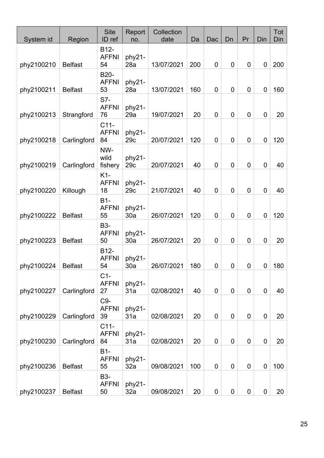| System id  | Region         | <b>Site</b><br>ID ref                   | Report<br>no. | Collection<br>date | Da  | Dac              | Dn          | Pr               | Din         | Tot<br>Din |
|------------|----------------|-----------------------------------------|---------------|--------------------|-----|------------------|-------------|------------------|-------------|------------|
| phy2100210 | <b>Belfast</b> | B12-<br><b>AFFNI</b><br>54              | phy21-<br>28a | 13/07/2021         | 200 | 0                | $\mathbf 0$ | 0                | $\mathbf 0$ | 200        |
| phy2100211 | <b>Belfast</b> | <b>B20-</b><br><b>AFFNI</b><br>53       | phy21-<br>28a | 13/07/2021         | 160 | 0                | $\mathbf 0$ | 0                | $\mathbf 0$ | 160        |
| phy2100213 | Strangford     | S7-<br><b>AFFNI</b><br>76               | phy21-<br>29a | 19/07/2021         | 20  | 0                | $\mathbf 0$ | 0                | $\mathbf 0$ | 20         |
| phy2100218 | Carlingford    | $C11-$<br><b>AFFNI</b><br>84            | phy21-<br>29c | 20/07/2021         | 120 | $\mathbf 0$      | $\mathbf 0$ | $\boldsymbol{0}$ | $\mathbf 0$ | 120        |
| phy2100219 | Carlingford    | NW-<br>wild<br>fishery                  | phy21-<br>29c | 20/07/2021         | 40  | 0                | $\mathbf 0$ | 0                | $\mathbf 0$ | 40         |
| phy2100220 | Killough       | K1-<br><b>AFFNI</b><br>18               | phy21-<br>29c | 21/07/2021         | 40  | $\mathbf 0$      | $\mathbf 0$ | 0                | $\mathbf 0$ | 40         |
| phy2100222 | <b>Belfast</b> | $B1-$<br><b>AFFNI</b><br>55             | phy21-<br>30a | 26/07/2021         | 120 | $\mathbf 0$      | $\mathbf 0$ | $\boldsymbol{0}$ | $\mathbf 0$ | 120        |
| phy2100223 | <b>Belfast</b> | <b>B3-</b><br><b>AFFNI</b><br>50        | phy21-<br>30a | 26/07/2021         | 20  | 0                | $\mathbf 0$ | 0                | $\mathbf 0$ | 20         |
| phy2100224 | <b>Belfast</b> | B <sub>12</sub> -<br><b>AFFNI</b><br>54 | phy21-<br>30a | 26/07/2021         | 180 | 0                | $\mathbf 0$ | 0                | $\mathbf 0$ | 180        |
| phy2100227 | Carlingford    | $C1-$<br><b>AFFNI</b><br>27             | phy21-<br>31a | 02/08/2021         | 40  | $\overline{0}$   | $\mathbf 0$ | 0                | $\mathbf 0$ | 40         |
| phy2100229 | Carlingford    | C9-<br><b>AFFNI</b><br>39               | phy21-<br>31a | 02/08/2021         | 20  | $\mathbf 0$      | $\mathbf 0$ | 0                | $\mathbf 0$ | 20         |
| phy2100230 | Carlingford    | $C11-$<br><b>AFFNI</b><br>84            | phy21-<br>31a | 02/08/2021         | 20  | $\mathbf 0$      | $\mathbf 0$ | 0                | $\mathbf 0$ | 20         |
| phy2100236 | <b>Belfast</b> | $B1-$<br><b>AFFNI</b><br>55             | phy21-<br>32a | 09/08/2021         | 100 | $\boldsymbol{0}$ | $\mathbf 0$ | 0                | $\mathbf 0$ | 100        |
| phy2100237 | <b>Belfast</b> | <b>B3-</b><br><b>AFFNI</b><br>50        | phy21-<br>32a | 09/08/2021         | 20  | 0                | $\mathbf 0$ | 0                | $\mathbf 0$ | 20         |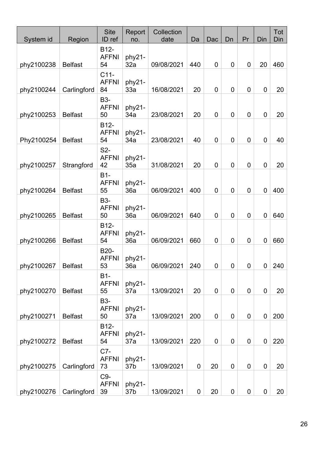| System id  | Region         | <b>Site</b><br>ID ref                   | Report<br>no.             | Collection<br>date | Da          | Dac         | Dn             | Pr               | Din            | Tot<br>Din |
|------------|----------------|-----------------------------------------|---------------------------|--------------------|-------------|-------------|----------------|------------------|----------------|------------|
| phy2100238 | <b>Belfast</b> | B <sub>12</sub> -<br><b>AFFNI</b><br>54 | phy21-<br>32a             | 09/08/2021         | 440         | 0           | $\mathbf 0$    | 0                | 20             | 460        |
| phy2100244 | Carlingford    | $C11-$<br><b>AFFNI</b><br>84            | phy21-<br>33a             | 16/08/2021         | 20          | $\mathbf 0$ | $\overline{0}$ | 0                | $\mathbf 0$    | 20         |
| phy2100253 | <b>Belfast</b> | <b>B3-</b><br><b>AFFNI</b><br>50        | phy21-<br>34a             | 23/08/2021         | 20          | 0           | 0              | 0                | $\mathbf 0$    | 20         |
| Phy2100254 | <b>Belfast</b> | B12-<br><b>AFFNI</b><br>54              | phy21-<br>34a             | 23/08/2021         | 40          | 0           | $\overline{0}$ | $\boldsymbol{0}$ | $\overline{0}$ | 40         |
| phy2100257 | Strangford     | S <sub>2</sub> -<br><b>AFFNI</b><br>42  | phy21-<br>35a             | 31/08/2021         | 20          | 0           | 0              | $\mathbf 0$      | $\overline{0}$ | 20         |
| phy2100264 | <b>Belfast</b> | <b>B1-</b><br><b>AFFNI</b><br>55        | phy21-<br>36a             | 06/09/2021         | 400         | 0           | $\overline{0}$ | $\boldsymbol{0}$ | $\mathbf 0$    | 400        |
| phy2100265 | <b>Belfast</b> | <b>B3-</b><br><b>AFFNI</b><br>50        | phy21-<br>36a             | 06/09/2021         | 640         | $\mathbf 0$ | $\overline{0}$ | $\boldsymbol{0}$ | $\mathbf 0$    | 640        |
| phy2100266 | <b>Belfast</b> | B <sub>12</sub> -<br><b>AFFNI</b><br>54 | phy21-<br>36a             | 06/09/2021         | 660         | 0           | $\mathbf 0$    | 0                | $\mathbf 0$    | 660        |
| phy2100267 | <b>Belfast</b> | B20-<br><b>AFFNI</b><br>53              | phy21-<br>36a             | 06/09/2021         | 240         | 0           | $\mathbf 0$    | 0                | 0              | 240        |
| phy2100270 | <b>Belfast</b> | $B1-$<br><b>AFFNI</b><br>55             | phy21-<br>37a             | 13/09/2021         | 20          | 0           | $\mathbf 0$    | 0                | $\mathbf 0$    | 20         |
| phy2100271 | <b>Belfast</b> | <b>B3-</b><br><b>AFFNI</b><br>50        | phy21-<br>37a             | 13/09/2021         | 200         | $\mathbf 0$ | $\overline{0}$ | $\boldsymbol{0}$ | $\mathbf 0$    | 200        |
| phy2100272 | <b>Belfast</b> | B12-<br><b>AFFNI</b><br>54              | phy21-<br>37a             | 13/09/2021         | 220         | $\mathbf 0$ | $\mathbf 0$    | 0                | $\mathbf 0$    | 220        |
| phy2100275 | Carlingford    | C7-<br><b>AFFNI</b><br>73               | phy21-<br>37 <sub>b</sub> | 13/09/2021         | $\mathbf 0$ | 20          | $\mathbf 0$    | $\mathbf 0$      | $\mathbf 0$    | 20         |
| phy2100276 | Carlingford    | C9-<br><b>AFFNI</b><br>39               | phy21-<br>37 <sub>b</sub> | 13/09/2021         | 0           | 20          | $\mathbf 0$    | 0                | $\mathbf 0$    | 20         |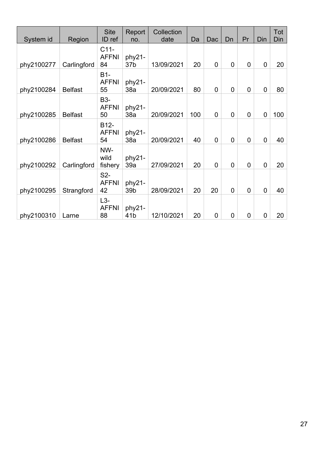| System id  | Region         | <b>Site</b><br>ID ref                   | Report<br>no.             | Collection<br>date | Da  | Dac            | Dn             | Pr          | Din            | Tot<br>Din |
|------------|----------------|-----------------------------------------|---------------------------|--------------------|-----|----------------|----------------|-------------|----------------|------------|
| phy2100277 | Carlingford    | $C11-$<br><b>AFFNI</b><br>84            | phy21-<br>37 <sub>b</sub> | 13/09/2021         | 20  | 0              | 0              | 0           | $\overline{0}$ | 20         |
| phy2100284 | <b>Belfast</b> | $B1-$<br><b>AFFNI</b><br>55             | phy21-<br>38a             | 20/09/2021         | 80  | 0              | 0              | $\mathbf 0$ | $\overline{0}$ | 80         |
| phy2100285 | <b>Belfast</b> | <b>B3-</b><br><b>AFFNI</b><br>50        | phy21-<br>38a             | 20/09/2021         | 100 | $\overline{0}$ | $\overline{0}$ | $\mathbf 0$ | $\overline{0}$ | 100        |
| phy2100286 | <b>Belfast</b> | B <sub>12</sub> -<br><b>AFFNI</b><br>54 | phy21-<br>38a             | 20/09/2021         | 40  | $\overline{0}$ | $\overline{0}$ | 0           | $\overline{0}$ | 40         |
| phy2100292 | Carlingford    | NW-<br>wild<br>fishery                  | phy21-<br>39a             | 27/09/2021         | 20  | 0              | 0              | $\mathbf 0$ | $\overline{0}$ | 20         |
| phy2100295 | Strangford     | S <sub>2</sub> -<br><b>AFFNI</b><br>42  | phy21-<br>39b             | 28/09/2021         | 20  | 20             | $\overline{0}$ | $\mathbf 0$ | $\overline{0}$ | 40         |
| phy2100310 | Larne          | $L3-$<br><b>AFFNI</b><br>88             | phy21-<br>41 <sub>b</sub> | 12/10/2021         | 20  | 0              | 0              | $\mathbf 0$ | $\mathbf 0$    | 20         |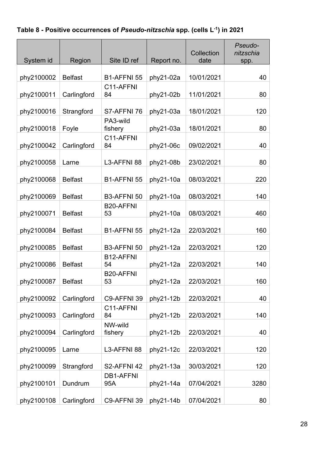**Table 8 - Positive occurrences of** *Pseudo-nitzschia* **spp. (cells L-1) in 2021**

| System id  | Region         | Site ID ref              | Report no. | Collection<br>date | Pseudo-<br>nitzschia<br>spp. |
|------------|----------------|--------------------------|------------|--------------------|------------------------------|
|            |                |                          |            |                    |                              |
| phy2100002 | <b>Belfast</b> | B1-AFFNI 55<br>C11-AFFNI | phy21-02a  | 10/01/2021         | 40                           |
| phy2100011 | Carlingford    | 84                       | phy21-02b  | 11/01/2021         | 80                           |
| phy2100016 | Strangford     | S7-AFFNI 76              | phy21-03a  | 18/01/2021         | 120                          |
| phy2100018 | Foyle          | PA3-wild<br>fishery      | phy21-03a  | 18/01/2021         | 80                           |
| phy2100042 | Carlingford    | C11-AFFNI<br>84          | phy21-06c  | 09/02/2021         | 40                           |
| phy2100058 | Larne          | L3-AFFNI 88              | phy21-08b  | 23/02/2021         | 80                           |
| phy2100068 | <b>Belfast</b> | B1-AFFNI 55              | phy21-10a  | 08/03/2021         | 220                          |
| phy2100069 | <b>Belfast</b> | B3-AFFNI 50              | phy21-10a  | 08/03/2021         | 140                          |
| phy2100071 | <b>Belfast</b> | <b>B20-AFFNI</b><br>53   | phy21-10a  | 08/03/2021         | 460                          |
| phy2100084 | <b>Belfast</b> | B1-AFFNI 55              | phy21-12a  | 22/03/2021         | 160                          |
| phy2100085 | <b>Belfast</b> | B3-AFFNI 50              | phy21-12a  | 22/03/2021         | 120                          |
| phy2100086 | <b>Belfast</b> | B12-AFFNI<br>54          | phy21-12a  | 22/03/2021         | 140                          |
| phy2100087 | <b>Belfast</b> | <b>B20-AFFNI</b><br>53   | phy21-12a  | 22/03/2021         | 160                          |
| phy2100092 | Carlingford    | C9-AFFNI 39              | phy21-12b  | 22/03/2021         | 40                           |
| phy2100093 | Carlingford    | C11-AFFNI<br>84          | phy21-12b  | 22/03/2021         | 140                          |
| phy2100094 | Carlingford    | NW-wild<br>fishery       | phy21-12b  | 22/03/2021         | 40                           |
| phy2100095 | Larne          | L3-AFFNI 88              | phy21-12c  | 22/03/2021         | 120                          |
| phy2100099 | Strangford     | S2-AFFNI 42              | phy21-13a  | 30/03/2021         | 120                          |
| phy2100101 | Dundrum        | <b>DB1-AFFNI</b><br>95A  | phy21-14a  | 07/04/2021         | 3280                         |
| phy2100108 | Carlingford    | C9-AFFNI 39              | phy21-14b  | 07/04/2021         | 80                           |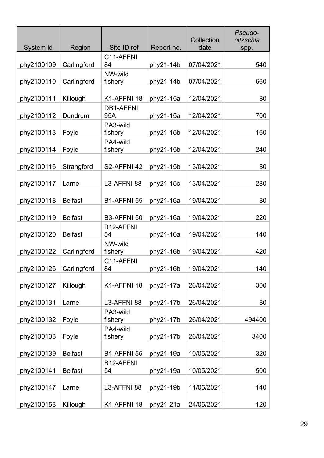| System id  | Region         | Site ID ref             | Report no. | Collection<br>date | Pseudo-<br>nitzschia<br>spp. |
|------------|----------------|-------------------------|------------|--------------------|------------------------------|
|            |                | C11-AFFNI               |            |                    |                              |
| phy2100109 | Carlingford    | 84                      | phy21-14b  | 07/04/2021         | 540                          |
| phy2100110 | Carlingford    | NW-wild<br>fishery      | phy21-14b  | 07/04/2021         | 660                          |
| phy2100111 | Killough       | K1-AFFNI 18             | phy21-15a  | 12/04/2021         | 80                           |
| phy2100112 | Dundrum        | <b>DB1-AFFNI</b><br>95A | phy21-15a  | 12/04/2021         | 700                          |
| phy2100113 | Foyle          | PA3-wild<br>fishery     | phy21-15b  | 12/04/2021         | 160                          |
| phy2100114 | Foyle          | PA4-wild<br>fishery     | phy21-15b  | 12/04/2021         | 240                          |
|            |                |                         |            |                    |                              |
| phy2100116 | Strangford     | S2-AFFNI 42             | phy21-15b  | 13/04/2021         | 80                           |
| phy2100117 | Larne          | L3-AFFNI 88             | phy21-15c  | 13/04/2021         | 280                          |
| phy2100118 | <b>Belfast</b> | B1-AFFNI 55             | phy21-16a  | 19/04/2021         | 80                           |
| phy2100119 | <b>Belfast</b> | B3-AFFNI 50             | phy21-16a  | 19/04/2021         | 220                          |
| phy2100120 | <b>Belfast</b> | B12-AFFNI<br>54         | phy21-16a  | 19/04/2021         | 140                          |
| phy2100122 | Carlingford    | NW-wild<br>fishery      | phy21-16b  | 19/04/2021         | 420                          |
| phy2100126 | Carlingford    | C11-AFFNI<br>84         | phy21-16b  | 19/04/2021         | 140                          |
|            |                |                         |            |                    |                              |
| phy2100127 | Killough       | K1-AFFNI 18             | phy21-17a  | 26/04/2021         | 300                          |
| phy2100131 | Larne          | L3-AFFNI 88             | phy21-17b  | 26/04/2021         | 80                           |
| phy2100132 | Foyle          | PA3-wild<br>fishery     | phy21-17b  | 26/04/2021         | 494400                       |
| phy2100133 | Foyle          | PA4-wild<br>fishery     | phy21-17b  | 26/04/2021         | 3400                         |
| phy2100139 | <b>Belfast</b> | B1-AFFNI 55             | phy21-19a  | 10/05/2021         | 320                          |
|            |                | B12-AFFNI               |            |                    |                              |
| phy2100141 | <b>Belfast</b> | 54                      | phy21-19a  | 10/05/2021         | 500                          |
| phy2100147 | Larne          | L3-AFFNI 88             | phy21-19b  | 11/05/2021         | 140                          |
| phy2100153 | Killough       | K1-AFFNI 18             | phy21-21a  | 24/05/2021         | 120                          |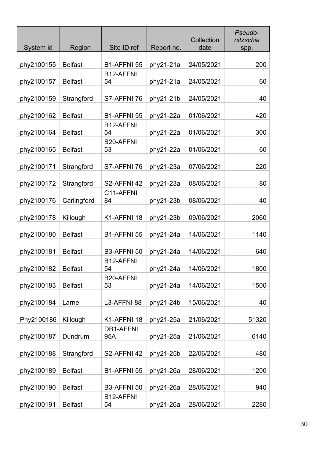| System id  | Region         | Site ID ref                  | Report no. | Collection<br>date | Pseudo-<br>nitzschia<br>spp. |
|------------|----------------|------------------------------|------------|--------------------|------------------------------|
| phy2100155 | <b>Belfast</b> | B1-AFFNI 55                  | phy21-21a  | 24/05/2021         | 200                          |
| phy2100157 | <b>Belfast</b> | B <sub>12</sub> -AFFNI<br>54 | phy21-21a  | 24/05/2021         | 60                           |
| phy2100159 | Strangford     | S7-AFFNI 76                  | phy21-21b  | 24/05/2021         | 40                           |
| phy2100162 | <b>Belfast</b> | B1-AFFNI 55                  | phy21-22a  | 01/06/2021         | 420                          |
| phy2100164 | <b>Belfast</b> | B12-AFFNI<br>54              | phy21-22a  | 01/06/2021         | 300                          |
| phy2100165 | <b>Belfast</b> | <b>B20-AFFNI</b><br>53       | phy21-22a  | 01/06/2021         | 60                           |
| phy2100171 | Strangford     | S7-AFFNI 76                  | phy21-23a  | 07/06/2021         | 220                          |
| phy2100172 | Strangford     | S2-AFFNI 42                  | phy21-23a  | 08/06/2021         | 80                           |
| phy2100176 | Carlingford    | C11-AFFNI<br>84              | phy21-23b  | 08/06/2021         | 40                           |
| phy2100178 | Killough       | K1-AFFNI 18                  | phy21-23b  | 09/06/2021         | 2060                         |
| phy2100180 | <b>Belfast</b> | B1-AFFNI 55                  | phy21-24a  | 14/06/2021         | 1140                         |
| phy2100181 | <b>Belfast</b> | B3-AFFNI 50                  | phy21-24a  | 14/06/2021         | 640                          |
| phy2100182 | <b>Belfast</b> | B12-AFFNI<br>54              | phy21-24a  | 14/06/2021         | 1800                         |
| phy2100183 | <b>Belfast</b> | <b>B20-AFFNI</b><br>53       | phy21-24a  | 14/06/2021         | 1500                         |
| phy2100184 | Larne          | L3-AFFNI 88                  | phy21-24b  | 15/06/2021         | 40                           |
| Phy2100186 | Killough       | K1-AFFNI 18                  | phy21-25a  | 21/06/2021         | 51320                        |
| phy2100187 | Dundrum        | <b>DB1-AFFNI</b><br>95A      | phy21-25a  | 21/06/2021         | 6140                         |
| phy2100188 | Strangford     | S2-AFFNI 42                  | phy21-25b  | 22/06/2021         | 480                          |
| phy2100189 | <b>Belfast</b> | B1-AFFNI 55                  | phy21-26a  | 28/06/2021         | 1200                         |
| phy2100190 | <b>Belfast</b> | B3-AFFNI 50                  | phy21-26a  | 28/06/2021         | 940                          |
| phy2100191 | <b>Belfast</b> | B12-AFFNI<br>54              | phy21-26a  | 28/06/2021         | 2280                         |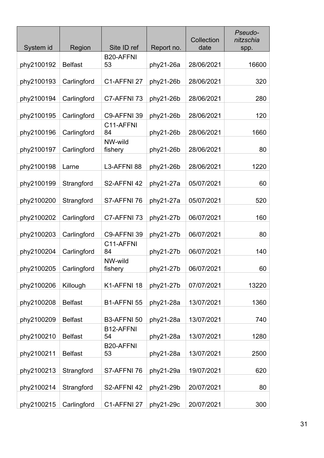| System id  | Region         | Site ID ref            | Report no. | Collection<br>date | Pseudo-<br>nitzschia<br>spp. |
|------------|----------------|------------------------|------------|--------------------|------------------------------|
|            |                |                        |            |                    |                              |
| phy2100192 | <b>Belfast</b> | <b>B20-AFFNI</b><br>53 | phy21-26a  | 28/06/2021         | 16600                        |
| phy2100193 | Carlingford    | C1-AFFNI 27            | phy21-26b  | 28/06/2021         | 320                          |
| phy2100194 | Carlingford    | C7-AFFNI 73            | phy21-26b  | 28/06/2021         | 280                          |
| phy2100195 | Carlingford    | C9-AFFNI 39            | phy21-26b  | 28/06/2021         | 120                          |
| phy2100196 | Carlingford    | C11-AFFNI<br>84        | phy21-26b  | 28/06/2021         | 1660                         |
| phy2100197 | Carlingford    | NW-wild<br>fishery     | phy21-26b  | 28/06/2021         | 80                           |
| phy2100198 | Larne          | L3-AFFNI 88            | phy21-26b  | 28/06/2021         | 1220                         |
| phy2100199 | Strangford     | S2-AFFNI 42            | phy21-27a  | 05/07/2021         | 60                           |
| phy2100200 | Strangford     | S7-AFFNI 76            | phy21-27a  | 05/07/2021         | 520                          |
| phy2100202 | Carlingford    | C7-AFFNI 73            | phy21-27b  | 06/07/2021         | 160                          |
| phy2100203 | Carlingford    | C9-AFFNI 39            | phy21-27b  | 06/07/2021         | 80                           |
| phy2100204 | Carlingford    | C11-AFFNI<br>84        | phy21-27b  | 06/07/2021         | 140                          |
| phy2100205 | Carlingford    | NW-wild<br>fishery     | phy21-27b  | 06/07/2021         | 60                           |
| phy2100206 | Killough       | K1-AFFNI 18            | phy21-27b  | 07/07/2021         | 13220                        |
| phy2100208 | <b>Belfast</b> | B1-AFFNI 55            | phy21-28a  | 13/07/2021         | 1360                         |
| phy2100209 | <b>Belfast</b> | B3-AFFNI 50            | phy21-28a  | 13/07/2021         | 740                          |
|            |                | B12-AFFNI              |            |                    |                              |
| phy2100210 | <b>Belfast</b> | 54<br><b>B20-AFFNI</b> | phy21-28a  | 13/07/2021         | 1280                         |
| phy2100211 | <b>Belfast</b> | 53                     | phy21-28a  | 13/07/2021         | 2500                         |
| phy2100213 | Strangford     | S7-AFFNI 76            | phy21-29a  | 19/07/2021         | 620                          |
| phy2100214 | Strangford     | S2-AFFNI 42            | phy21-29b  | 20/07/2021         | 80                           |
| phy2100215 | Carlingford    | C1-AFFNI 27            | phy21-29c  | 20/07/2021         | 300                          |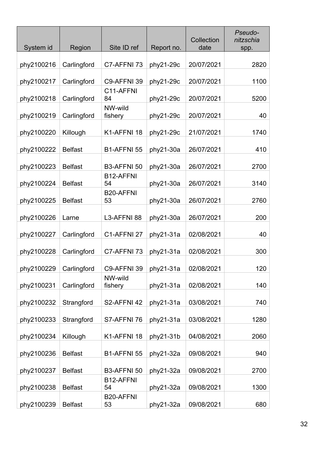| System id  | Region         | Site ID ref            | Report no. | Collection<br>date | Pseudo-<br>nitzschia<br>spp. |
|------------|----------------|------------------------|------------|--------------------|------------------------------|
| phy2100216 | Carlingford    | C7-AFFNI 73            | phy21-29c  | 20/07/2021         | 2820                         |
| phy2100217 | Carlingford    | C9-AFFNI 39            | phy21-29c  | 20/07/2021         | 1100                         |
| phy2100218 | Carlingford    | C11-AFFNI<br>84        | phy21-29c  | 20/07/2021         | 5200                         |
| phy2100219 | Carlingford    | NW-wild<br>fishery     | phy21-29c  | 20/07/2021         | 40                           |
| phy2100220 | Killough       | K1-AFFNI 18            | phy21-29c  | 21/07/2021         | 1740                         |
| phy2100222 | <b>Belfast</b> | <b>B1-AFFNI 55</b>     | phy21-30a  | 26/07/2021         | 410                          |
| phy2100223 | <b>Belfast</b> | B3-AFFNI 50            | phy21-30a  | 26/07/2021         | 2700                         |
| phy2100224 | <b>Belfast</b> | B12-AFFNI<br>54        | phy21-30a  | 26/07/2021         | 3140                         |
| phy2100225 | <b>Belfast</b> | <b>B20-AFFNI</b><br>53 | phy21-30a  | 26/07/2021         | 2760                         |
| phy2100226 | Larne          | L3-AFFNI 88            | phy21-30a  | 26/07/2021         | 200                          |
| phy2100227 | Carlingford    | C1-AFFNI 27            | phy21-31a  | 02/08/2021         | 40                           |
| phy2100228 | Carlingford    | C7-AFFNI 73            | phy21-31a  | 02/08/2021         | 300                          |
| phy2100229 | Carlingford    | C9-AFFNI 39            | phy21-31a  | 02/08/2021         | 120                          |
| phy2100231 | Carlingford    | NW-wild<br>fishery     | phy21-31a  | 02/08/2021         | 140                          |
| phy2100232 | Strangford     | S2-AFFNI 42            | phy21-31a  | 03/08/2021         | 740                          |
| phy2100233 | Strangford     | S7-AFFNI 76            | phy21-31a  | 03/08/2021         | 1280                         |
| phy2100234 | Killough       | K1-AFFNI 18            | phy21-31b  | 04/08/2021         | 2060                         |
| phy2100236 | <b>Belfast</b> | B1-AFFNI 55            | phy21-32a  | 09/08/2021         | 940                          |
| phy2100237 | <b>Belfast</b> | B3-AFFNI 50            | phy21-32a  | 09/08/2021         | 2700                         |
| phy2100238 | <b>Belfast</b> | B12-AFFNI<br>54        | phy21-32a  | 09/08/2021         | 1300                         |
| phy2100239 | <b>Belfast</b> | <b>B20-AFFNI</b><br>53 | phy21-32a  | 09/08/2021         | 680                          |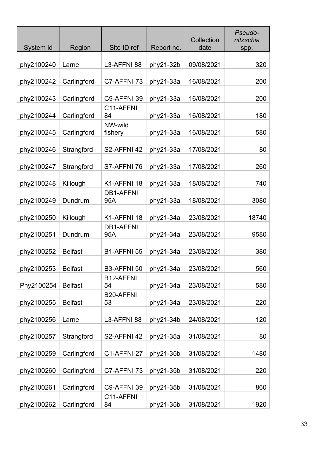| System id  | Region         | Site ID ref                  | Report no. | Collection<br>date | Pseudo-<br>nitzschia<br>spp. |
|------------|----------------|------------------------------|------------|--------------------|------------------------------|
| phy2100240 | Larne          | L3-AFFNI 88                  | phy21-32b  | 09/08/2021         | 320                          |
| phy2100242 | Carlingford    | C7-AFFNI 73                  | phy21-33a  | 16/08/2021         | 200                          |
| phy2100243 | Carlingford    | C9-AFFNI 39                  | phy21-33a  | 16/08/2021         | 200                          |
| phy2100244 | Carlingford    | C11-AFFNI<br>84              | phy21-33a  | 16/08/2021         | 180                          |
| phy2100245 | Carlingford    | NW-wild<br>fishery           | phy21-33a  | 16/08/2021         | 580                          |
| phy2100246 | Strangford     | S2-AFFNI 42                  | phy21-33a  | 17/08/2021         | 80                           |
| phy2100247 | Strangford     | S7-AFFNI 76                  | phy21-33a  | 17/08/2021         | 260                          |
| phy2100248 | Killough       | K1-AFFNI 18                  | phy21-33a  | 18/08/2021         | 740                          |
| phy2100249 | Dundrum        | <b>DB1-AFFNI</b><br>95A      | phy21-33a  | 18/08/2021         | 3080                         |
| phy2100250 | Killough       | K1-AFFNI 18                  | phy21-34a  | 23/08/2021         | 18740                        |
| phy2100251 | Dundrum        | <b>DB1-AFFNI</b><br>95A      | phy21-34a  | 23/08/2021         | 9580                         |
| phy2100252 | <b>Belfast</b> | B1-AFFNI 55                  | phy21-34a  | 23/08/2021         | 380                          |
| phy2100253 | <b>Belfast</b> | B3-AFFNI 50                  | phy21-34a  | 23/08/2021         | 560                          |
| Phy2100254 | <b>Belfast</b> | B <sub>12</sub> -AFFNI<br>54 | phy21-34a  | 23/08/2021         | 580                          |
| phy2100255 | <b>Belfast</b> | <b>B20-AFFNI</b><br>53       | phy21-34a  | 23/08/2021         | 220                          |
| phy2100256 | Larne          | L3-AFFNI 88                  | phy21-34b  | 24/08/2021         | 120                          |
| phy2100257 | Strangford     | S2-AFFNI 42                  | phy21-35a  | 31/08/2021         | 80                           |
| phy2100259 | Carlingford    | C1-AFFNI 27                  | phy21-35b  | 31/08/2021         | 1480                         |
| phy2100260 | Carlingford    | C7-AFFNI 73                  | phy21-35b  | 31/08/2021         | 220                          |
| phy2100261 | Carlingford    | C9-AFFNI 39                  | phy21-35b  | 31/08/2021         | 860                          |
| phy2100262 | Carlingford    | C11-AFFNI<br>84              | phy21-35b  | 31/08/2021         | 1920                         |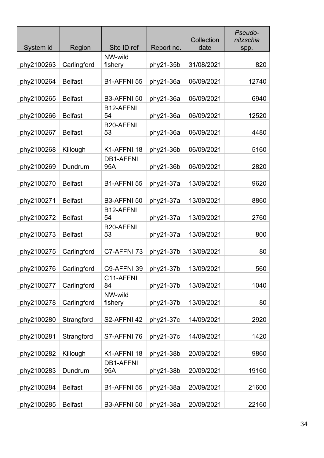| System id  | Region         | Site ID ref             | Report no. | Collection<br>date | Pseudo-<br>nitzschia<br>spp. |
|------------|----------------|-------------------------|------------|--------------------|------------------------------|
| phy2100263 | Carlingford    | NW-wild<br>fishery      | phy21-35b  | 31/08/2021         | 820                          |
| phy2100264 | <b>Belfast</b> | B1-AFFNI 55             | phy21-36a  | 06/09/2021         | 12740                        |
| phy2100265 | <b>Belfast</b> | B3-AFFNI 50             | phy21-36a  | 06/09/2021         | 6940                         |
| phy2100266 | <b>Belfast</b> | B12-AFFNI<br>54         | phy21-36a  | 06/09/2021         | 12520                        |
| phy2100267 | <b>Belfast</b> | <b>B20-AFFNI</b><br>53  | phy21-36a  | 06/09/2021         | 4480                         |
| phy2100268 | Killough       | K1-AFFNI 18             | phy21-36b  | 06/09/2021         | 5160                         |
| phy2100269 | Dundrum        | <b>DB1-AFFNI</b><br>95A | phy21-36b  | 06/09/2021         | 2820                         |
| phy2100270 | <b>Belfast</b> | B1-AFFNI 55             | phy21-37a  | 13/09/2021         | 9620                         |
| phy2100271 | <b>Belfast</b> | B3-AFFNI 50             | phy21-37a  | 13/09/2021         | 8860                         |
| phy2100272 | <b>Belfast</b> | B12-AFFNI<br>54         | phy21-37a  | 13/09/2021         | 2760                         |
| phy2100273 | <b>Belfast</b> | <b>B20-AFFNI</b><br>53  | phy21-37a  | 13/09/2021         | 800                          |
| phy2100275 | Carlingford    | C7-AFFNI 73             | phy21-37b  | 13/09/2021         | 80                           |
| phy2100276 | Carlingford    | C9-AFFNI 39             | phy21-37b  | 13/09/2021         | 560                          |
| phy2100277 | Carlingford    | C11-AFFNI<br>84         | phy21-37b  | 13/09/2021         | 1040                         |
| phy2100278 | Carlingford    | NW-wild<br>fishery      | phy21-37b  | 13/09/2021         | 80                           |
| phy2100280 | Strangford     | S2-AFFNI 42             | phy21-37c  | 14/09/2021         | 2920                         |
| phy2100281 | Strangford     | S7-AFFNI 76             | phy21-37c  | 14/09/2021         | 1420                         |
| phy2100282 | Killough       | K1-AFFNI 18             | phy21-38b  | 20/09/2021         | 9860                         |
| phy2100283 | Dundrum        | <b>DB1-AFFNI</b><br>95A | phy21-38b  | 20/09/2021         | 19160                        |
| phy2100284 | <b>Belfast</b> | B1-AFFNI 55             | phy21-38a  | 20/09/2021         | 21600                        |
| phy2100285 | <b>Belfast</b> | B3-AFFNI 50             | phy21-38a  | 20/09/2021         | 22160                        |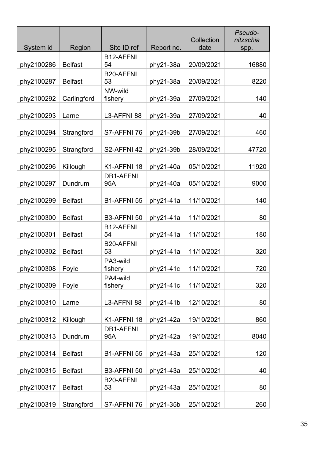| System id  | Region         | Site ID ref             | Report no. | Collection<br>date | Pseudo-<br>nitzschia<br>spp. |
|------------|----------------|-------------------------|------------|--------------------|------------------------------|
|            |                | B12-AFFNI               |            |                    |                              |
| phy2100286 | <b>Belfast</b> | 54                      | phy21-38a  | 20/09/2021         | 16880                        |
| phy2100287 | <b>Belfast</b> | <b>B20-AFFNI</b><br>53  | phy21-38a  | 20/09/2021         | 8220                         |
| phy2100292 | Carlingford    | NW-wild<br>fishery      | phy21-39a  | 27/09/2021         | 140                          |
| phy2100293 | Larne          | L3-AFFNI 88             | phy21-39a  | 27/09/2021         | 40                           |
| phy2100294 | Strangford     | S7-AFFNI 76             | phy21-39b  | 27/09/2021         | 460                          |
| phy2100295 | Strangford     | S2-AFFNI 42             | phy21-39b  | 28/09/2021         | 47720                        |
| phy2100296 | Killough       | K1-AFFNI 18             | phy21-40a  | 05/10/2021         | 11920                        |
| phy2100297 | Dundrum        | <b>DB1-AFFNI</b><br>95A | phy21-40a  | 05/10/2021         | 9000                         |
| phy2100299 | <b>Belfast</b> | B1-AFFNI 55             | phy21-41a  | 11/10/2021         | 140                          |
| phy2100300 | <b>Belfast</b> | B3-AFFNI 50             | phy21-41a  | 11/10/2021         | 80                           |
| phy2100301 | <b>Belfast</b> | B12-AFFNI<br>54         | phy21-41a  | 11/10/2021         | 180                          |
| phy2100302 | <b>Belfast</b> | <b>B20-AFFNI</b><br>53  | phy21-41a  | 11/10/2021         | 320                          |
| phy2100308 | Foyle          | PA3-wild<br>fishery     | phy21-41c  | 11/10/2021         | 720                          |
| phy2100309 | Foyle          | PA4-wild<br>fishery     | phy21-41c  | 11/10/2021         | 320                          |
| phy2100310 | Larne          | L3-AFFNI 88             | phy21-41b  | 12/10/2021         | 80                           |
| phy2100312 | Killough       | K1-AFFNI 18             | phy21-42a  | 19/10/2021         | 860                          |
| phy2100313 | Dundrum        | <b>DB1-AFFNI</b><br>95A | phy21-42a  | 19/10/2021         | 8040                         |
| phy2100314 | <b>Belfast</b> | B1-AFFNI 55             | phy21-43a  | 25/10/2021         | 120                          |
| phy2100315 | <b>Belfast</b> | B3-AFFNI 50             | phy21-43a  | 25/10/2021         | 40                           |
| phy2100317 | <b>Belfast</b> | <b>B20-AFFNI</b><br>53  | phy21-43a  | 25/10/2021         | 80                           |
| phy2100319 | Strangford     | S7-AFFNI 76             | phy21-35b  | 25/10/2021         | 260                          |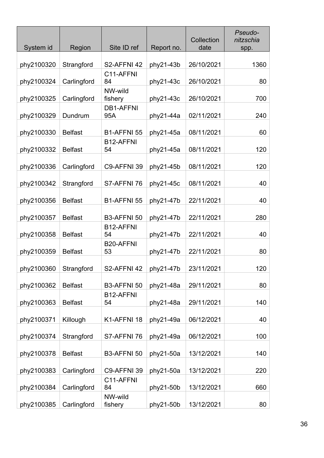| System id  | Region         | Site ID ref             | Report no. | Collection<br>date | Pseudo-<br>nitzschia<br>spp. |
|------------|----------------|-------------------------|------------|--------------------|------------------------------|
| phy2100320 | Strangford     | S2-AFFNI 42             | phy21-43b  | 26/10/2021         | 1360                         |
| phy2100324 | Carlingford    | C11-AFFNI<br>84         | phy21-43c  | 26/10/2021         | 80                           |
| phy2100325 | Carlingford    | NW-wild<br>fishery      | phy21-43c  | 26/10/2021         | 700                          |
| phy2100329 | Dundrum        | <b>DB1-AFFNI</b><br>95A | phy21-44a  | 02/11/2021         | 240                          |
| phy2100330 | <b>Belfast</b> | B1-AFFNI 55             | phy21-45a  | 08/11/2021         | 60                           |
| phy2100332 | <b>Belfast</b> | B12-AFFNI<br>54         | phy21-45a  | 08/11/2021         | 120                          |
| phy2100336 | Carlingford    | C9-AFFNI 39             | phy21-45b  | 08/11/2021         | 120                          |
| phy2100342 | Strangford     | S7-AFFNI 76             | phy21-45c  | 08/11/2021         | 40                           |
| phy2100356 | <b>Belfast</b> | B1-AFFNI 55             | phy21-47b  | 22/11/2021         | 40                           |
| phy2100357 | <b>Belfast</b> | B3-AFFNI 50             | phy21-47b  | 22/11/2021         | 280                          |
| phy2100358 | <b>Belfast</b> | B12-AFFNI<br>54         | phy21-47b  | 22/11/2021         | 40                           |
| phy2100359 | <b>Belfast</b> | <b>B20-AFFNI</b><br>53  | phy21-47b  | 22/11/2021         | 80                           |
| phy2100360 | Strangford     | S2-AFFNI 42             | phy21-47b  | 23/11/2021         | 120                          |
| phy2100362 | <b>Belfast</b> | B3-AFFNI 50             | phy21-48a  | 29/11/2021         | 80                           |
| phy2100363 | <b>Belfast</b> | B12-AFFNI<br>54         | phy21-48a  | 29/11/2021         | 140                          |
| phy2100371 | Killough       | K1-AFFNI 18             | phy21-49a  | 06/12/2021         | 40                           |
| phy2100374 | Strangford     | S7-AFFNI 76             | phy21-49a  | 06/12/2021         | 100                          |
| phy2100378 | <b>Belfast</b> | B3-AFFNI 50             | phy21-50a  | 13/12/2021         | 140                          |
| phy2100383 | Carlingford    | C9-AFFNI 39             | phy21-50a  | 13/12/2021         | 220                          |
| phy2100384 | Carlingford    | C11-AFFNI<br>84         | phy21-50b  | 13/12/2021         | 660                          |
| phy2100385 | Carlingford    | NW-wild<br>fishery      | phy21-50b  | 13/12/2021         | 80                           |